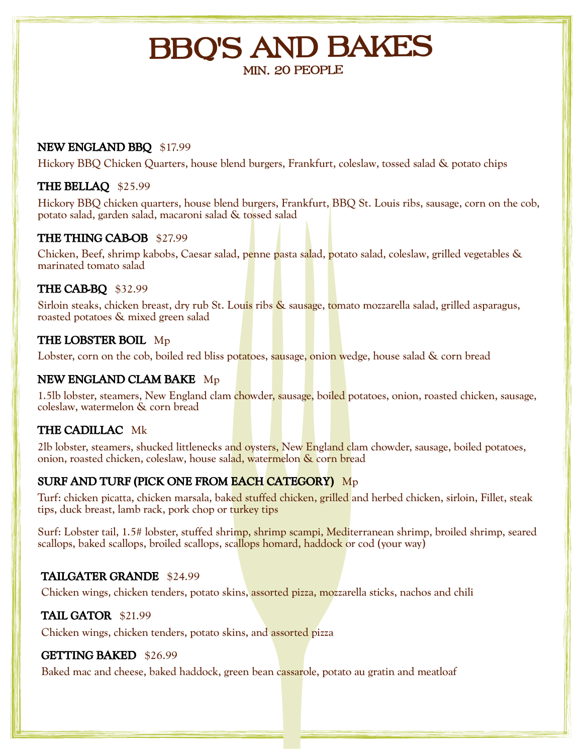# **BBQ'S AND BAKES MIN. 20 PEOPLE**

#### **NEW ENGLAND BBQ** \$17.99

Hickory BBQ Chicken Quarters, house blend burgers, Frankfurt, coleslaw, tossed salad & potato chips

#### **THE BELLAQ** \$25.99

Hickory BBQ chicken quarters, house blend burgers, Frankfurt, BBQ St. Louis ribs, sausage, corn on the cob, potato salad, garden salad, macaroni salad & tossed salad

#### **THE THING CAB-OB** \$27.99

Chicken, Beef, shrimp kabobs, Caesar salad, penne pasta salad, potato salad, coleslaw, grilled vegetables & marinated tomato salad

#### **THE CAB-BQ** \$32.99

Sirloin steaks, chicken breast, dry rub St. Louis ribs & sausage, tomato mozzarella salad, grilled asparagus, roasted potatoes & mixed green salad

## **THE LOBSTER BOIL** Mp

Lobster, corn on the cob, boiled red bliss potatoes, sausage, onion wedge, house salad & corn bread

#### **NEW ENGLAND CLAM BAKE** Mp

1.5lb lobster, steamers, New England clam chowder, sausage, boiled potatoes, onion, roasted chicken, sausage, coleslaw, watermelon & corn bread

## **THE CADILLAC** Mk

2lb lobster, steamers, shucked littlenecks and oysters, New England clam chowder, sausage, boiled potatoes, onion, roasted chicken, coleslaw, house salad, watermelon & corn bread

# **SURF AND TURF (PICK ONE FROM EACH CATEGORY)** Mp

Turf: chicken picatta, chicken marsala, baked stuffed chicken, grilled and herbed chicken, sirloin, Fillet, steak tips, duck breast, lamb rack, pork chop or turkey tips

Surf: Lobster tail, 1.5# lobster, stuffed shrimp, shrimp scampi, Mediterranean shrimp, broiled shrimp, seared scallops, baked scallops, broiled scallops, scallops homard, haddock or cod (your way)

## **TAILGATER GRANDE** \$24.99

Chicken wings, chicken tenders, potato skins, assorted pizza, mozzarella sticks, nachos and chili

## **TAIL GATOR** \$21.99

Chicken wings, chicken tenders, potato skins, and assorted pizza

## **GETTING BAKED** \$26.99

Baked mac and cheese, baked haddock, green bean cassarole, potato au gratin and meatloaf